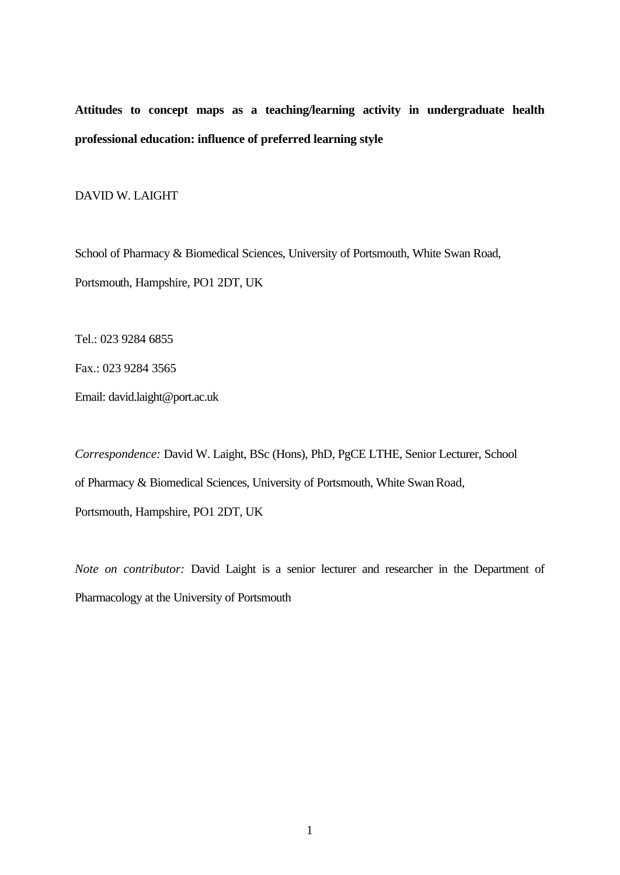**Attitudes to concept maps as a teaching/learning activity in undergraduate health professional education: influence of preferred learning style**

DAVID W. LAIGHT

School of Pharmacy & Biomedical Sciences, University of Portsmouth, White Swan Road, Portsmouth, Hampshire, PO1 2DT, UK

Tel.: 023 9284 6855

Fax.: 023 9284 3565

Email: david.laight@port.ac.uk

*Correspondence:* David W. Laight, BSc (Hons), PhD, PgCE LTHE, Senior Lecturer, School of Pharmacy & Biomedical Sciences, University of Portsmouth, White Swan Road, Portsmouth, Hampshire, PO1 2DT, UK

*Note on contributor:* David Laight is a senior lecturer and researcher in the Department of Pharmacology at the University of Portsmouth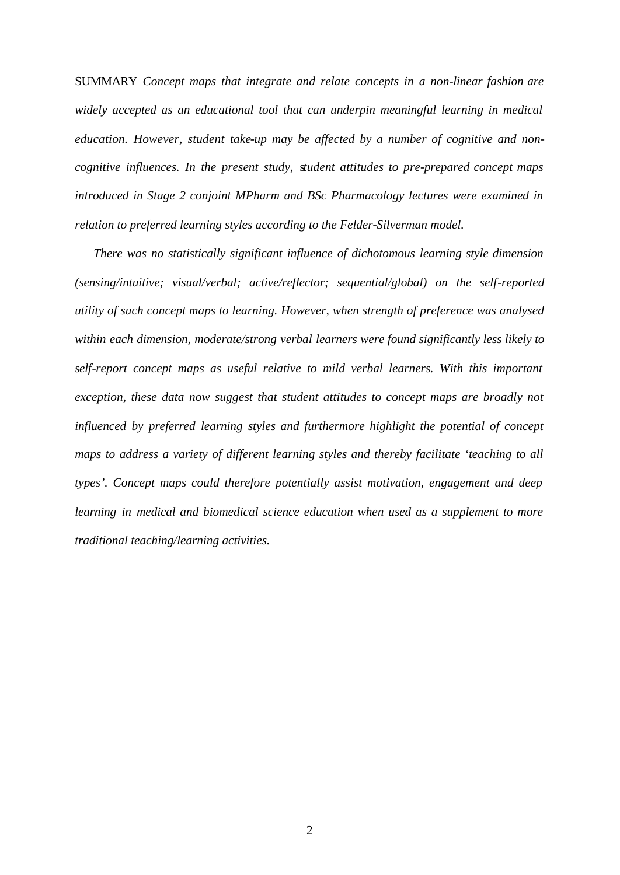SUMMARY *Concept maps that integrate and relate concepts in a non-linear fashion are widely accepted as an educational tool that can underpin meaningful learning in medical education. However, student take-up may be affected by a number of cognitive and noncognitive influences. In the present study*, s*tudent attitudes to pre-prepared concept maps introduced in Stage 2 conjoint MPharm and BSc Pharmacology lectures were examined in relation to preferred learning styles according to the Felder-Silverman model.*

 *There was no statistically significant influence of dichotomous learning style dimension (sensing/intuitive; visual/verbal; active/reflector; sequential/global) on the self-reported utility of such concept maps to learning. However, when strength of preference was analysed within each dimension, moderate/strong verbal learners were found significantly less likely to self-report concept maps as useful relative to mild verbal learners. With this important exception, these data now suggest that student attitudes to concept maps are broadly not influenced by preferred learning styles and furthermore highlight the potential of concept maps to address a variety of different learning styles and thereby facilitate 'teaching to all types'. Concept maps could therefore potentially assist motivation, engagement and deep learning in medical and biomedical science education when used as a supplement to more traditional teaching/learning activities.*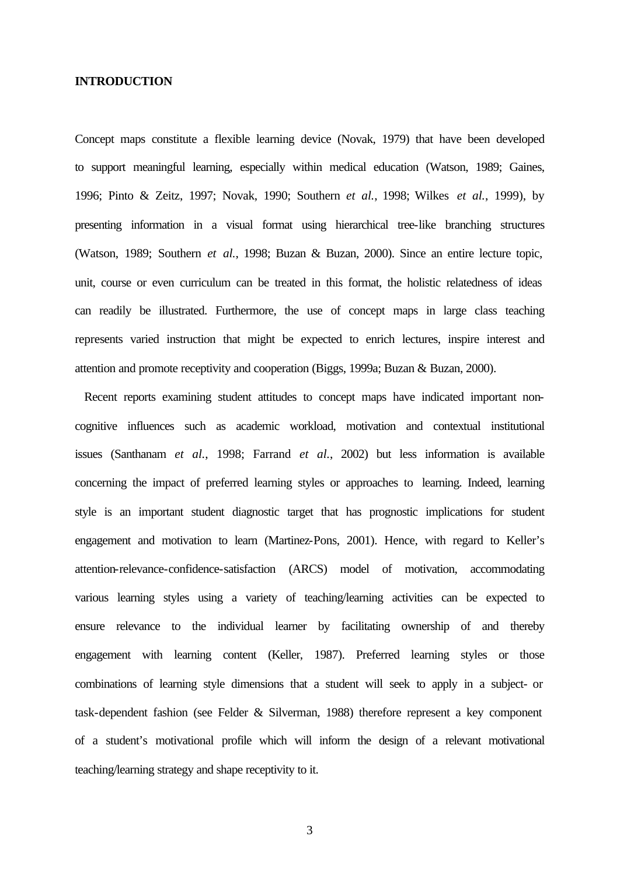# **INTRODUCTION**

Concept maps constitute a flexible learning device (Novak, 1979) that have been developed to support meaningful learning, especially within medical education (Watson, 1989; Gaines, 1996; Pinto & Zeitz, 1997; Novak, 1990; Southern *et al.*, 1998; Wilkes *et al.*, 1999), by presenting information in a visual format using hierarchical tree-like branching structures (Watson, 1989; Southern *et al.*, 1998; Buzan & Buzan, 2000). Since an entire lecture topic, unit, course or even curriculum can be treated in this format, the holistic relatedness of ideas can readily be illustrated. Furthermore, the use of concept maps in large class teaching represents varied instruction that might be expected to enrich lectures, inspire interest and attention and promote receptivity and cooperation (Biggs, 1999a; Buzan & Buzan, 2000).

 Recent reports examining student attitudes to concept maps have indicated important noncognitive influences such as academic workload, motivation and contextual institutional issues (Santhanam *et al.*, 1998; Farrand *et al.*, 2002) but less information is available concerning the impact of preferred learning styles or approaches to learning. Indeed, learning style is an important student diagnostic target that has prognostic implications for student engagement and motivation to learn (Martinez-Pons, 2001). Hence, with regard to Keller's attention-relevance-confidence-satisfaction (ARCS) model of motivation, accommodating various learning styles using a variety of teaching/learning activities can be expected to ensure relevance to the individual learner by facilitating ownership of and thereby engagement with learning content (Keller, 1987). Preferred learning styles or those combinations of learning style dimensions that a student will seek to apply in a subject- or task-dependent fashion (see Felder & Silverman, 1988) therefore represent a key component of a student's motivational profile which will inform the design of a relevant motivational teaching/learning strategy and shape receptivity to it.

3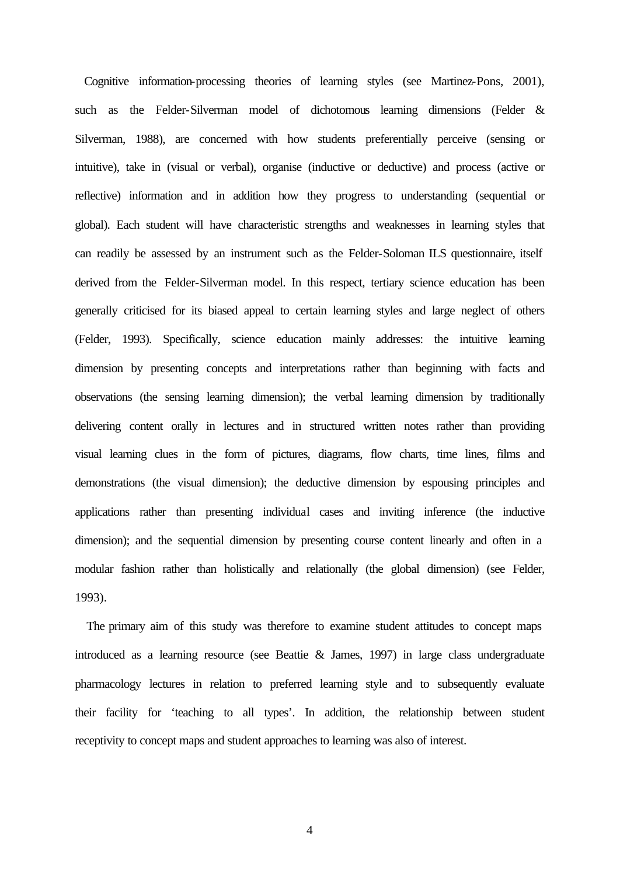Cognitive information-processing theories of learning styles (see Martinez-Pons, 2001), such as the Felder-Silverman model of dichotomous learning dimensions (Felder & Silverman, 1988), are concerned with how students preferentially perceive (sensing or intuitive), take in (visual or verbal), organise (inductive or deductive) and process (active or reflective) information and in addition how they progress to understanding (sequential or global). Each student will have characteristic strengths and weaknesses in learning styles that can readily be assessed by an instrument such as the Felder-Soloman ILS questionnaire, itself derived from the Felder-Silverman model. In this respect, tertiary science education has been generally criticised for its biased appeal to certain learning styles and large neglect of others (Felder, 1993). Specifically, science education mainly addresses: the intuitive learning dimension by presenting concepts and interpretations rather than beginning with facts and observations (the sensing learning dimension); the verbal learning dimension by traditionally delivering content orally in lectures and in structured written notes rather than providing visual learning clues in the form of pictures, diagrams, flow charts, time lines, films and demonstrations (the visual dimension); the deductive dimension by espousing principles and applications rather than presenting individual cases and inviting inference (the inductive dimension); and the sequential dimension by presenting course content linearly and often in a modular fashion rather than holistically and relationally (the global dimension) (see Felder, 1993).

 The primary aim of this study was therefore to examine student attitudes to concept maps introduced as a learning resource (see Beattie & James, 1997) in large class undergraduate pharmacology lectures in relation to preferred learning style and to subsequently evaluate their facility for 'teaching to all types'. In addition, the relationship between student receptivity to concept maps and student approaches to learning was also of interest.

4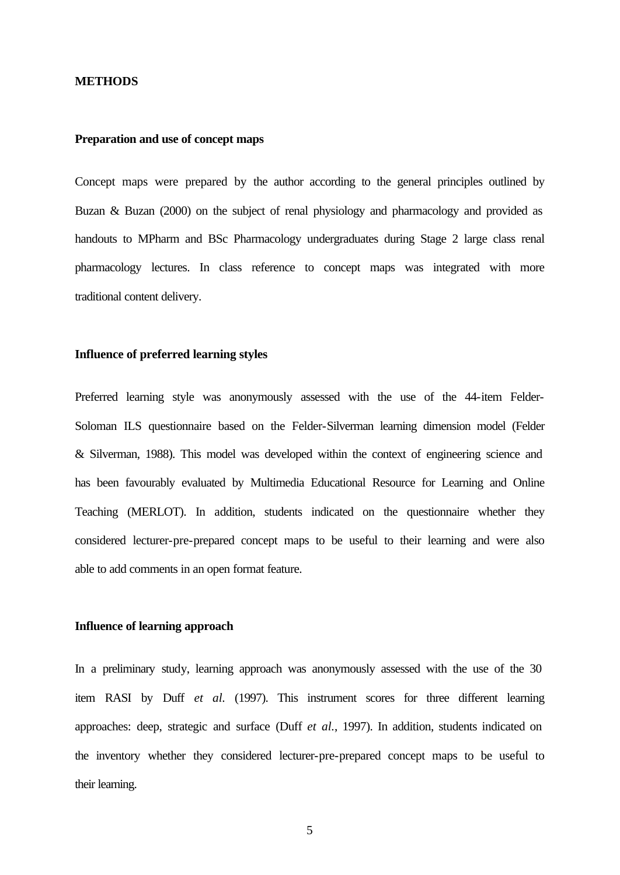## **METHODS**

# **Preparation and use of concept maps**

Concept maps were prepared by the author according to the general principles outlined by Buzan & Buzan (2000) on the subject of renal physiology and pharmacology and provided as handouts to MPharm and BSc Pharmacology undergraduates during Stage 2 large class renal pharmacology lectures. In class reference to concept maps was integrated with more traditional content delivery.

# **Influence of preferred learning styles**

Preferred learning style was anonymously assessed with the use of the 44-item Felder-Soloman ILS questionnaire based on the Felder-Silverman learning dimension model (Felder & Silverman, 1988). This model was developed within the context of engineering science and has been favourably evaluated by Multimedia Educational Resource for Learning and Online Teaching (MERLOT). In addition, students indicated on the questionnaire whether they considered lecturer-pre-prepared concept maps to be useful to their learning and were also able to add comments in an open format feature.

### **Influence of learning approach**

In a preliminary study, learning approach was anonymously assessed with the use of the 30 item RASI by Duff *et al.* (1997). This instrument scores for three different learning approaches: deep, strategic and surface (Duff *et al.*, 1997). In addition, students indicated on the inventory whether they considered lecturer-pre-prepared concept maps to be useful to their learning.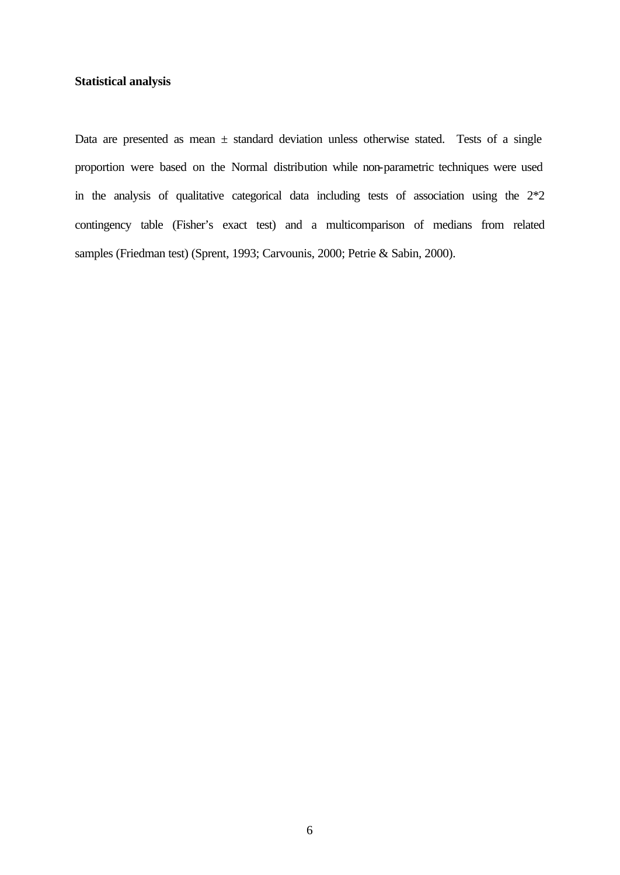# **Statistical analysis**

Data are presented as mean  $\pm$  standard deviation unless otherwise stated. Tests of a single proportion were based on the Normal distribution while non-parametric techniques were used in the analysis of qualitative categorical data including tests of association using the 2\*2 contingency table (Fisher's exact test) and a multicomparison of medians from related samples (Friedman test) (Sprent, 1993; Carvounis, 2000; Petrie & Sabin, 2000).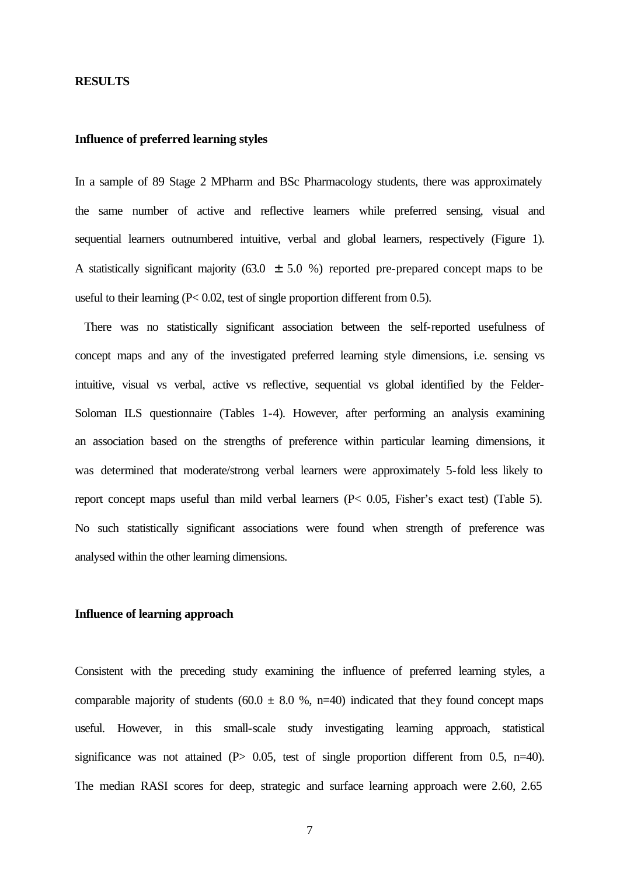#### **RESULTS**

# **Influence of preferred learning styles**

In a sample of 89 Stage 2 MPharm and BSc Pharmacology students, there was approximately the same number of active and reflective learners while preferred sensing, visual and sequential learners outnumbered intuitive, verbal and global learners, respectively (Figure 1). A statistically significant majority (63.0  $\pm$  5.0 %) reported pre-prepared concept maps to be useful to their learning (P< 0.02, test of single proportion different from 0.5).

 There was no statistically significant association between the self-reported usefulness of concept maps and any of the investigated preferred learning style dimensions, i.e. sensing vs intuitive, visual vs verbal, active vs reflective, sequential vs global identified by the Felder-Soloman ILS questionnaire (Tables 1-4). However, after performing an analysis examining an association based on the strengths of preference within particular learning dimensions, it was determined that moderate/strong verbal learners were approximately 5-fold less likely to report concept maps useful than mild verbal learners (P< 0.05, Fisher's exact test) (Table 5). No such statistically significant associations were found when strength of preference was analysed within the other learning dimensions.

### **Influence of learning approach**

Consistent with the preceding study examining the influence of preferred learning styles, a comparable majority of students (60.0  $\pm$  8.0 %, n=40) indicated that they found concept maps useful. However, in this small-scale study investigating learning approach, statistical significance was not attained  $(P> 0.05$ , test of single proportion different from 0.5, n=40). The median RASI scores for deep, strategic and surface learning approach were 2.60, 2.65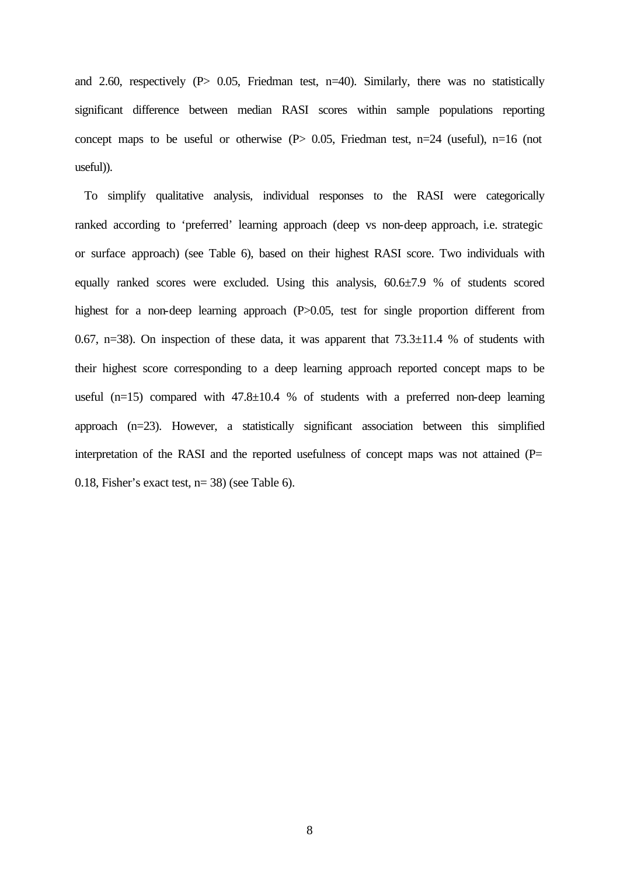and 2.60, respectively ( $P$ > 0.05, Friedman test, n=40). Similarly, there was no statistically significant difference between median RASI scores within sample populations reporting concept maps to be useful or otherwise  $(P> 0.05$ , Friedman test, n=24 (useful), n=16 (not useful)).

 To simplify qualitative analysis, individual responses to the RASI were categorically ranked according to 'preferred' learning approach (deep vs non-deep approach, i.e. strategic or surface approach) (see Table 6), based on their highest RASI score. Two individuals with equally ranked scores were excluded. Using this analysis, 60.6±7.9 % of students scored highest for a non-deep learning approach (P>0.05, test for single proportion different from 0.67, n=38). On inspection of these data, it was apparent that  $73.3\pm11.4$  % of students with their highest score corresponding to a deep learning approach reported concept maps to be useful (n=15) compared with  $47.8 \pm 10.4$  % of students with a preferred non-deep learning approach (n=23). However, a statistically significant association between this simplified interpretation of the RASI and the reported usefulness of concept maps was not attained (P= 0.18, Fisher's exact test, n= 38) (see Table 6).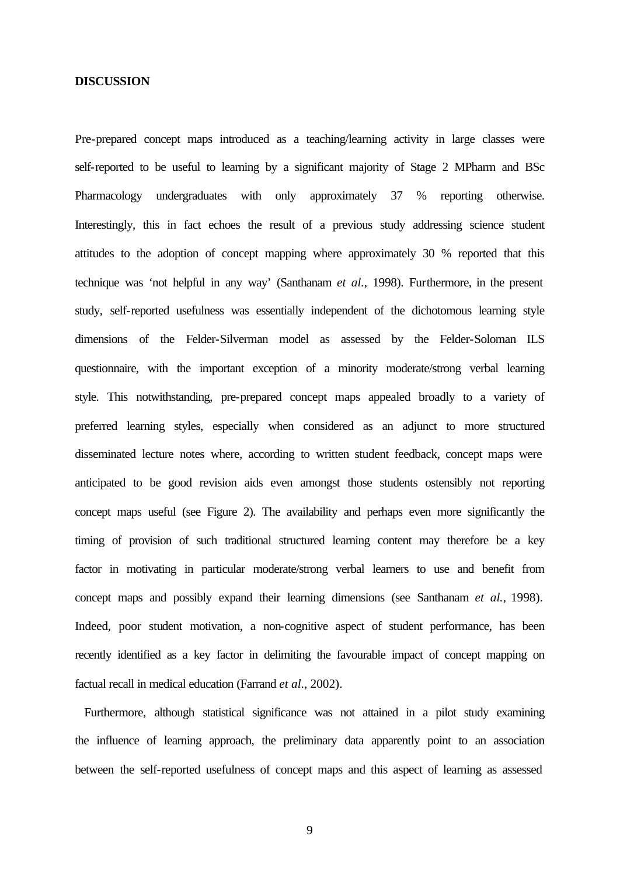## **DISCUSSION**

Pre-prepared concept maps introduced as a teaching/learning activity in large classes were self-reported to be useful to learning by a significant majority of Stage 2 MPharm and BSc Pharmacology undergraduates with only approximately 37 % reporting otherwise. Interestingly, this in fact echoes the result of a previous study addressing science student attitudes to the adoption of concept mapping where approximately 30 % reported that this technique was 'not helpful in any way' (Santhanam *et al.*, 1998). Furthermore, in the present study, self-reported usefulness was essentially independent of the dichotomous learning style dimensions of the Felder-Silverman model as assessed by the Felder-Soloman ILS questionnaire, with the important exception of a minority moderate/strong verbal learning style. This notwithstanding, pre-prepared concept maps appealed broadly to a variety of preferred learning styles, especially when considered as an adjunct to more structured disseminated lecture notes where, according to written student feedback, concept maps were anticipated to be good revision aids even amongst those students ostensibly not reporting concept maps useful (see Figure 2). The availability and perhaps even more significantly the timing of provision of such traditional structured learning content may therefore be a key factor in motivating in particular moderate/strong verbal learners to use and benefit from concept maps and possibly expand their learning dimensions (see Santhanam *et al.*, 1998). Indeed, poor student motivation, a non-cognitive aspect of student performance, has been recently identified as a key factor in delimiting the favourable impact of concept mapping on factual recall in medical education (Farrand *et al*., 2002).

 Furthermore, although statistical significance was not attained in a pilot study examining the influence of learning approach, the preliminary data apparently point to an association between the self-reported usefulness of concept maps and this aspect of learning as assessed

9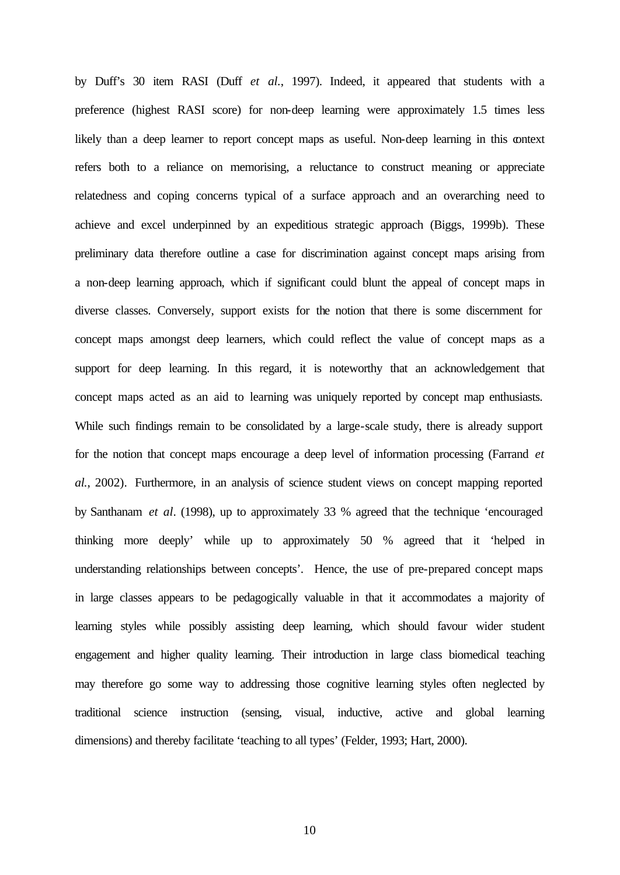by Duff's 30 item RASI (Duff *et al.*, 1997). Indeed, it appeared that students with a preference (highest RASI score) for non-deep learning were approximately 1.5 times less likely than a deep learner to report concept maps as useful. Non-deep learning in this context refers both to a reliance on memorising, a reluctance to construct meaning or appreciate relatedness and coping concerns typical of a surface approach and an overarching need to achieve and excel underpinned by an expeditious strategic approach (Biggs, 1999b). These preliminary data therefore outline a case for discrimination against concept maps arising from a non-deep learning approach, which if significant could blunt the appeal of concept maps in diverse classes. Conversely, support exists for the notion that there is some discernment for concept maps amongst deep learners, which could reflect the value of concept maps as a support for deep learning. In this regard, it is noteworthy that an acknowledgement that concept maps acted as an aid to learning was uniquely reported by concept map enthusiasts. While such findings remain to be consolidated by a large-scale study, there is already support for the notion that concept maps encourage a deep level of information processing (Farrand *et al.*, 2002). Furthermore, in an analysis of science student views on concept mapping reported by Santhanam *et al*. (1998), up to approximately 33 % agreed that the technique 'encouraged thinking more deeply' while up to approximately 50 % agreed that it 'helped in understanding relationships between concepts'. Hence, the use of pre-prepared concept maps in large classes appears to be pedagogically valuable in that it accommodates a majority of learning styles while possibly assisting deep learning, which should favour wider student engagement and higher quality learning. Their introduction in large class biomedical teaching may therefore go some way to addressing those cognitive learning styles often neglected by traditional science instruction (sensing, visual, inductive, active and global learning dimensions) and thereby facilitate 'teaching to all types' (Felder, 1993; Hart, 2000).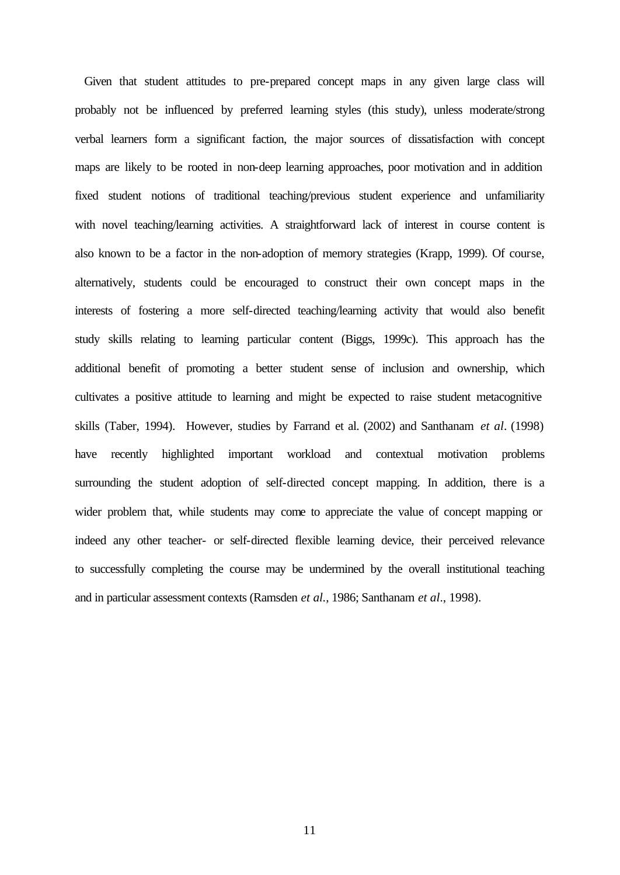Given that student attitudes to pre-prepared concept maps in any given large class will probably not be influenced by preferred learning styles (this study), unless moderate/strong verbal learners form a significant faction, the major sources of dissatisfaction with concept maps are likely to be rooted in non-deep learning approaches, poor motivation and in addition fixed student notions of traditional teaching/previous student experience and unfamiliarity with novel teaching/learning activities. A straightforward lack of interest in course content is also known to be a factor in the non-adoption of memory strategies (Krapp, 1999). Of course, alternatively, students could be encouraged to construct their own concept maps in the interests of fostering a more self-directed teaching/learning activity that would also benefit study skills relating to learning particular content (Biggs, 1999c). This approach has the additional benefit of promoting a better student sense of inclusion and ownership, which cultivates a positive attitude to learning and might be expected to raise student metacognitive skills (Taber, 1994). However, studies by Farrand et al. (2002) and Santhanam *et al*. (1998) have recently highlighted important workload and contextual motivation problems surrounding the student adoption of self-directed concept mapping. In addition, there is a wider problem that, while students may come to appreciate the value of concept mapping or indeed any other teacher- or self-directed flexible learning device, their perceived relevance to successfully completing the course may be undermined by the overall institutional teaching and in particular assessment contexts (Ramsden *et al.*, 1986; Santhanam *et al*., 1998).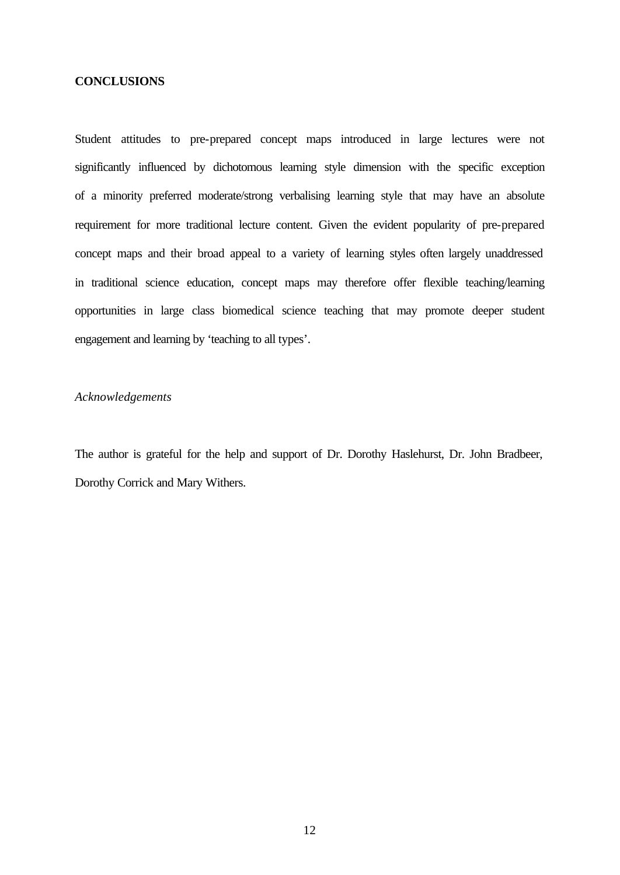## **CONCLUSIONS**

Student attitudes to pre-prepared concept maps introduced in large lectures were not significantly influenced by dichotomous learning style dimension with the specific exception of a minority preferred moderate/strong verbalising learning style that may have an absolute requirement for more traditional lecture content. Given the evident popularity of pre-prepared concept maps and their broad appeal to a variety of learning styles often largely unaddressed in traditional science education, concept maps may therefore offer flexible teaching/learning opportunities in large class biomedical science teaching that may promote deeper student engagement and learning by 'teaching to all types'.

# *Acknowledgements*

The author is grateful for the help and support of Dr. Dorothy Haslehurst, Dr. John Bradbeer, Dorothy Corrick and Mary Withers.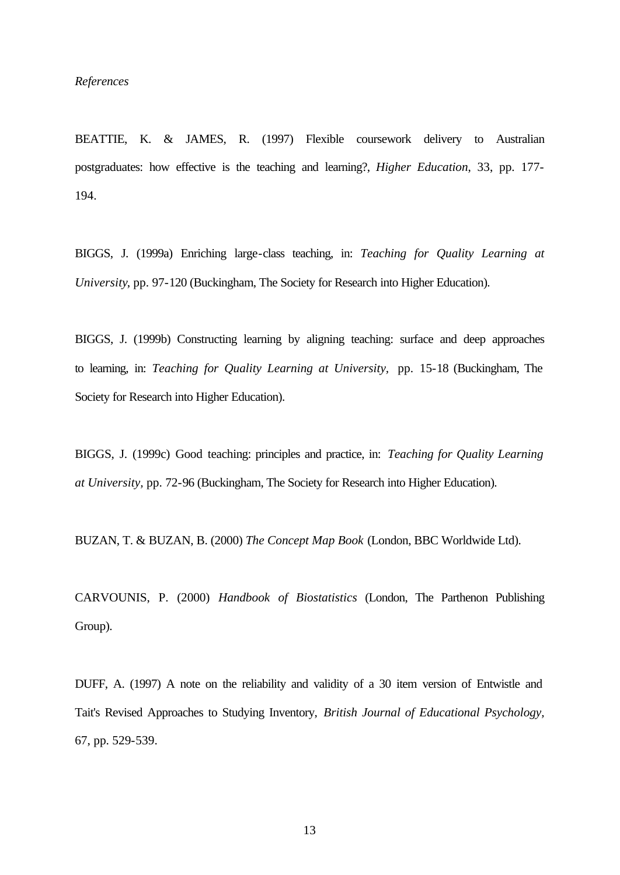*References*

BEATTIE, K. & JAMES, R. (1997) Flexible coursework delivery to Australian postgraduates: how effective is the teaching and learning?, *Higher Education*, 33, pp. 177- 194.

BIGGS, J. (1999a) Enriching large-class teaching, in: *Teaching for Quality Learning at University*, pp. 97-120 (Buckingham, The Society for Research into Higher Education).

BIGGS, J. (1999b) Constructing learning by aligning teaching: surface and deep approaches to learning, in: *Teaching for Quality Learning at University,* pp. 15-18 (Buckingham, The Society for Research into Higher Education).

BIGGS, J. (1999c) Good teaching: principles and practice, in: *Teaching for Quality Learning at University,* pp. 72-96 (Buckingham, The Society for Research into Higher Education).

BUZAN, T. & BUZAN, B. (2000) *The Concept Map Book* (London, BBC Worldwide Ltd).

CARVOUNIS, P. (2000) *Handbook of Biostatistics* (London, The Parthenon Publishing Group).

DUFF, A. (1997) A note on the reliability and validity of a 30 item version of Entwistle and Tait's Revised Approaches to Studying Inventory, *British Journal of Educational Psychology,* 67, pp. 529-539.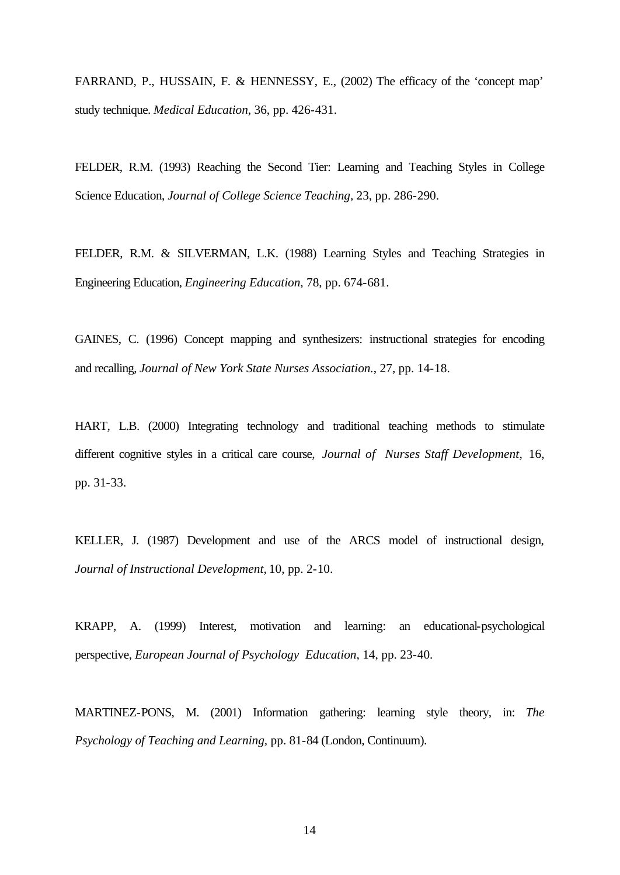FARRAND, P., HUSSAIN, F. & HENNESSY, E., (2002) The efficacy of the 'concept map' study technique. *Medical Education*, 36, pp. 426-431.

FELDER, R.M. (1993) Reaching the Second Tier: Learning and Teaching Styles in College Science Education, *Journal of College Science Teaching,* 23, pp. 286-290.

FELDER, R.M. & SILVERMAN, L.K. (1988) Learning Styles and Teaching Strategies in Engineering Education, *Engineering Education,* 78, pp. 674-681.

GAINES, C. (1996) Concept mapping and synthesizers: instructional strategies for encoding and recalling, *Journal of New York State Nurses Association.*, 27, pp. 14-18.

HART, L.B. (2000) Integrating technology and traditional teaching methods to stimulate different cognitive styles in a critical care course, *Journal of Nurses Staff Development,* 16, pp. 31-33.

KELLER, J. (1987) Development and use of the ARCS model of instructional design, *Journal of Instructional Development,* 10, pp. 2-10.

KRAPP, A. (1999) Interest, motivation and learning: an educational-psychological perspective, *European Journal of Psychology Education*, 14, pp. 23-40.

MARTINEZ-PONS, M. (2001) Information gathering: learning style theory, in: *The Psychology of Teaching and Learning,* pp. 81-84 (London, Continuum).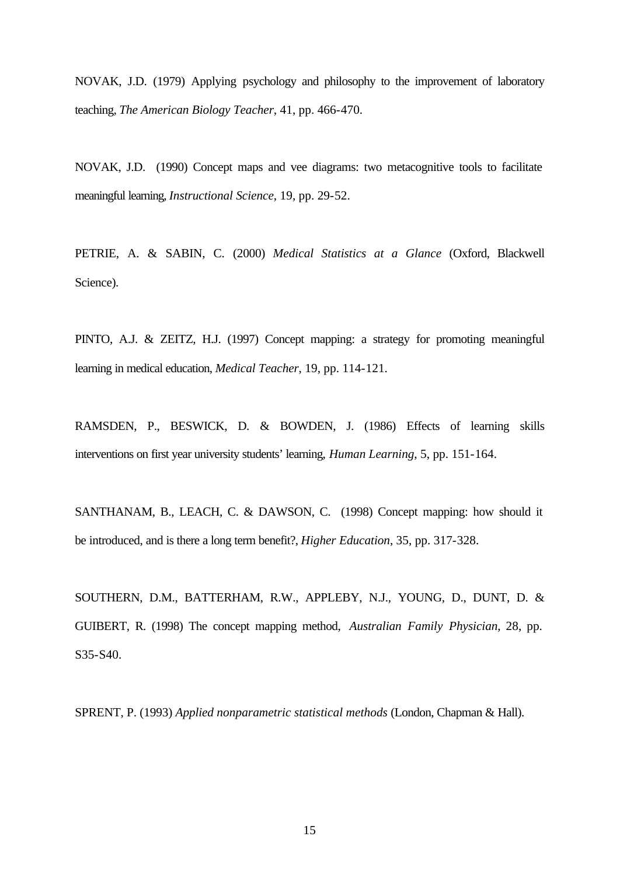NOVAK, J.D. (1979) Applying psychology and philosophy to the improvement of laboratory teaching, *The American Biology Teacher*, 41, pp. 466-470.

NOVAK, J.D. (1990) Concept maps and vee diagrams: two metacognitive tools to facilitate meaningful learning, *Instructional Science*, 19, pp. 29-52.

PETRIE, A. & SABIN, C. (2000) *Medical Statistics at a Glance* (Oxford, Blackwell Science).

PINTO, A.J. & ZEITZ, H.J. (1997) Concept mapping: a strategy for promoting meaningful learning in medical education, *Medical Teacher*, 19, pp. 114-121.

RAMSDEN, P., BESWICK, D. & BOWDEN, J. (1986) Effects of learning skills interventions on first year university students' learning, *Human Learning*, 5, pp. 151-164.

SANTHANAM, B., LEACH, C. & DAWSON, C. (1998) Concept mapping: how should it be introduced, and is there a long term benefit?, *Higher Education*, 35, pp. 317-328.

SOUTHERN, D.M., BATTERHAM, R.W., APPLEBY, N.J., YOUNG, D., DUNT, D. & GUIBERT, R. (1998) The concept mapping method, *Australian Family Physician*, 28, pp. S35-S40.

SPRENT, P. (1993) *Applied nonparametric statistical methods* (London, Chapman & Hall).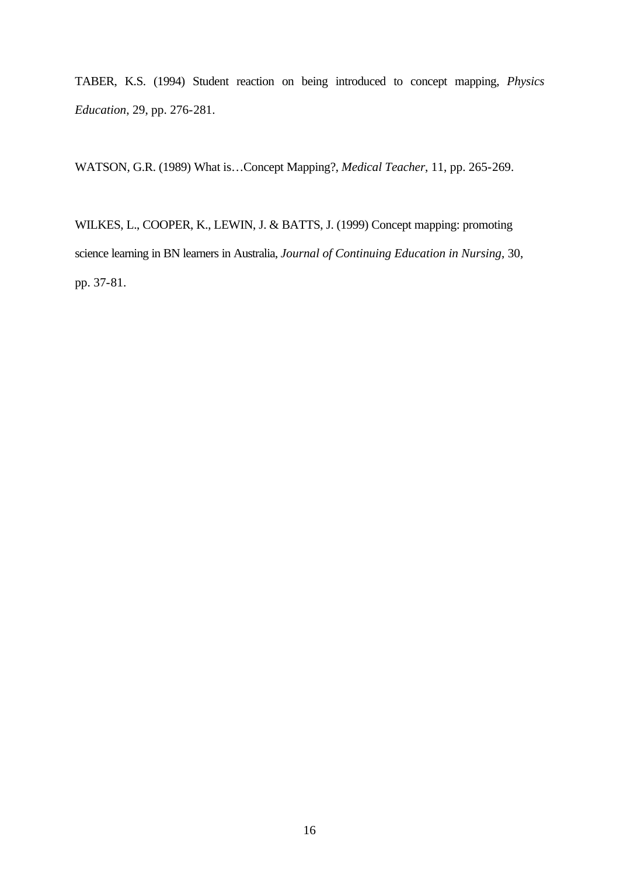TABER, K.S. (1994) Student reaction on being introduced to concept mapping, *Physics Education*, 29, pp. 276-281.

WATSON, G.R. (1989) What is…Concept Mapping?, *Medical Teacher*, 11, pp. 265-269.

WILKES, L., COOPER, K., LEWIN, J. & BATTS, J. (1999) Concept mapping: promoting science learning in BN learners in Australia, *Journal of Continuing Education in Nursing*, 30, pp. 37-81.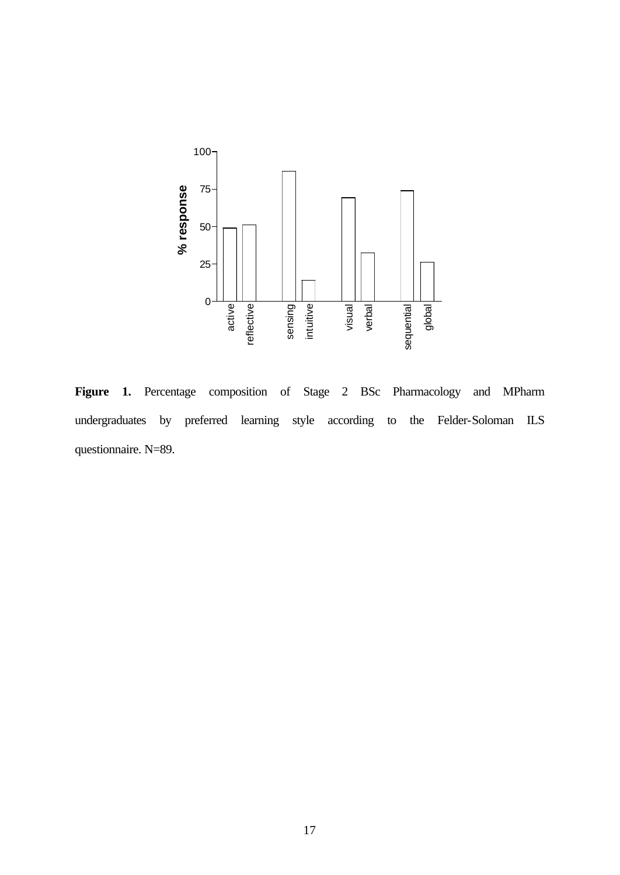

**Figure 1.** Percentage composition of Stage 2 BSc Pharmacology and MPharm undergraduates by preferred learning style according to the Felder-Soloman ILS questionnaire. N=89.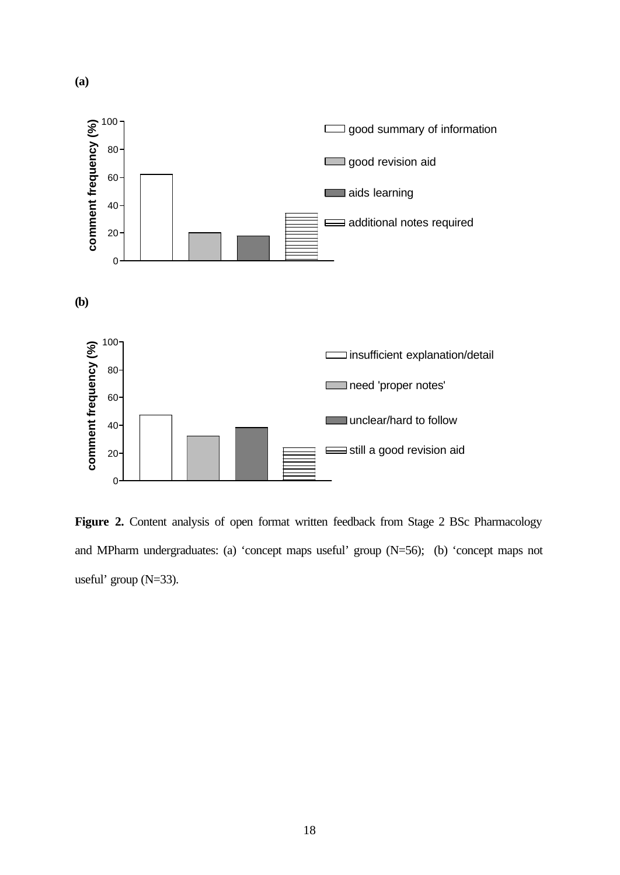

Figure 2. Content analysis of open format written feedback from Stage 2 BSc Pharmacology and MPharm undergraduates: (a) 'concept maps useful' group (N=56); (b) 'concept maps not useful' group (N=33).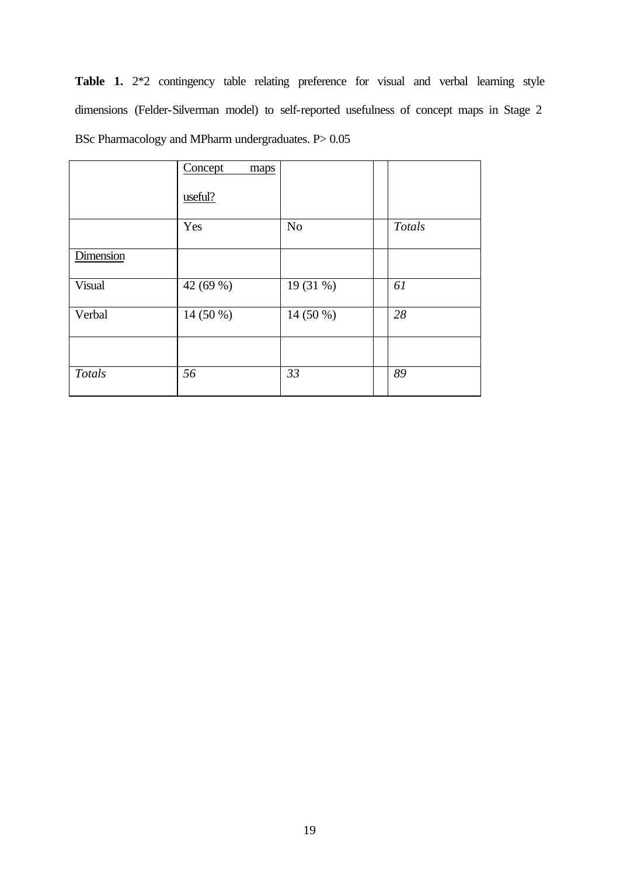**Table 1.** 2\*2 contingency table relating preference for visual and verbal learning style dimensions (Felder-Silverman model) to self-reported usefulness of concept maps in Stage 2 BSc Pharmacology and MPharm undergraduates. P> 0.05

|               | Concept<br>maps<br>useful? |                |               |
|---------------|----------------------------|----------------|---------------|
|               | Yes                        | N <sub>o</sub> | <b>Totals</b> |
| Dimension     |                            |                |               |
| Visual        | 42 (69 %)                  | 19 (31 %)      | 61            |
| Verbal        | 14 (50 %)                  | 14 (50 %)      | 28            |
|               |                            |                |               |
| <b>Totals</b> | 56                         | 33             | 89            |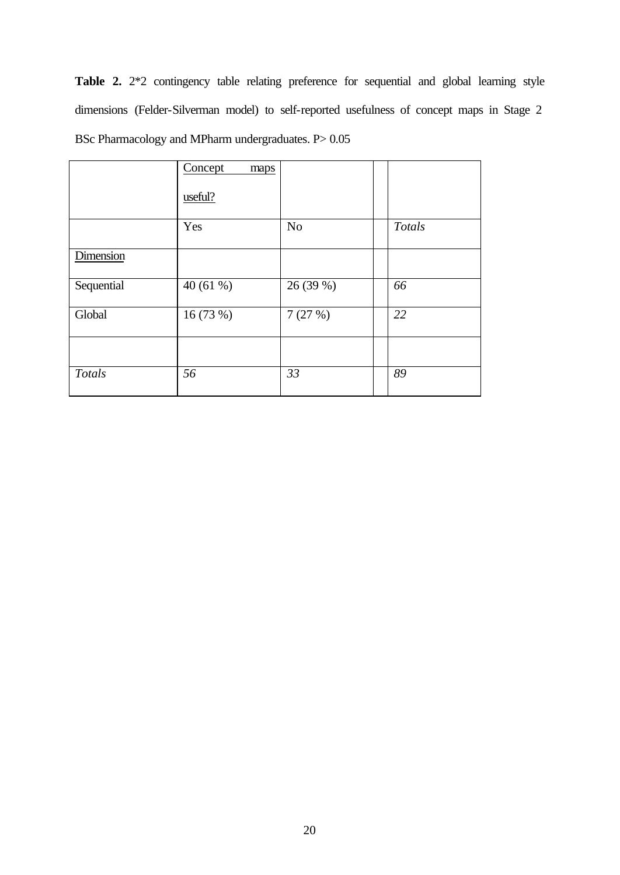Table 2. 2<sup>\*</sup>2 contingency table relating preference for sequential and global learning style dimensions (Felder-Silverman model) to self-reported usefulness of concept maps in Stage 2 BSc Pharmacology and MPharm undergraduates. P> 0.05

|            | Concept<br>maps<br>useful? |                |        |
|------------|----------------------------|----------------|--------|
|            | Yes                        | N <sub>o</sub> | Totals |
| Dimension  |                            |                |        |
| Sequential | 40(61%)                    | 26 (39 %)      | 66     |
| Global     | 16 (73 %)                  | 7(27%)         | 22     |
|            |                            |                |        |
| Totals     | 56                         | 33             | 89     |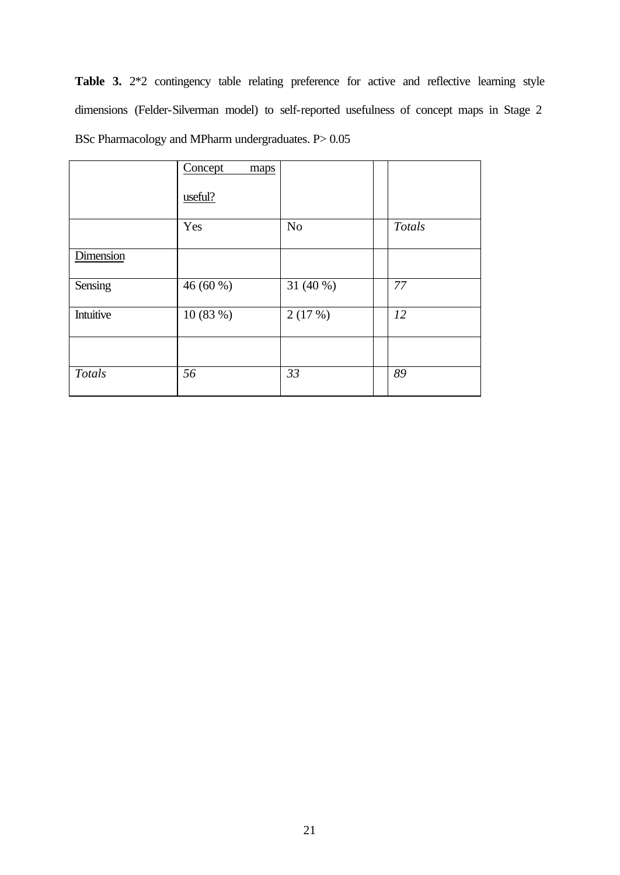Table 3. 2<sup>\*</sup>2 contingency table relating preference for active and reflective learning style dimensions (Felder-Silverman model) to self-reported usefulness of concept maps in Stage 2 BSc Pharmacology and MPharm undergraduates. P> 0.05

|               | Concept<br>maps<br>useful? |           |        |
|---------------|----------------------------|-----------|--------|
|               | Yes                        | No        | Totals |
| Dimension     |                            |           |        |
| Sensing       | 46 (60 %)                  | 31 (40 %) | 77     |
| Intuitive     | 10(83%)                    | 2(17%)    | 12     |
|               |                            |           |        |
| <b>Totals</b> | 56                         | 33        | 89     |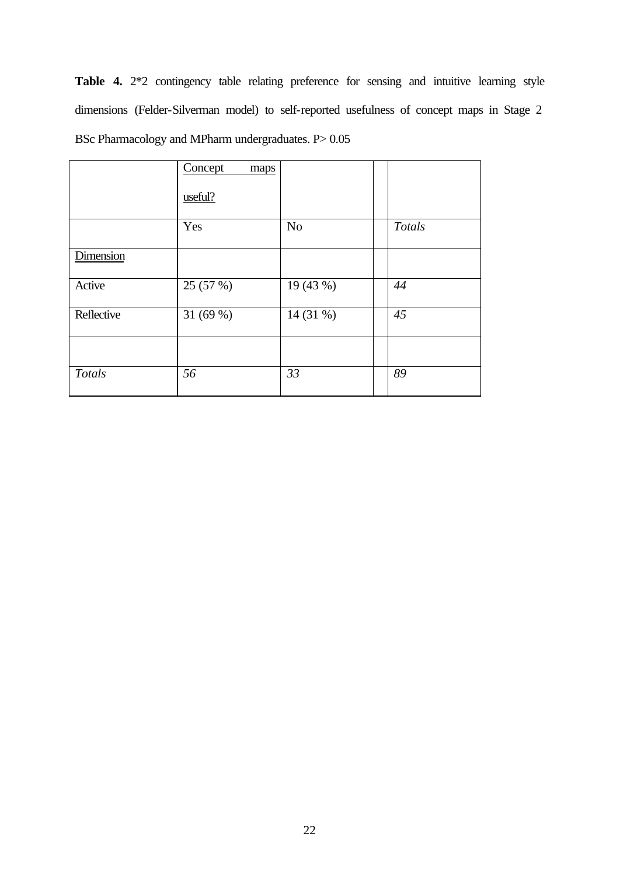Table 4. 2<sup>\*</sup>2 contingency table relating preference for sensing and intuitive learning style dimensions (Felder-Silverman model) to self-reported usefulness of concept maps in Stage 2 BSc Pharmacology and MPharm undergraduates. P> 0.05

|               | Concept<br>maps<br>useful? |                |        |
|---------------|----------------------------|----------------|--------|
|               | Yes                        | N <sub>o</sub> | Totals |
| Dimension     |                            |                |        |
| Active        | 25 (57 %)                  | 19 (43 %)      | 44     |
| Reflective    | 31 $(69%)$                 | 14 (31 %)      | 45     |
|               |                            |                |        |
| <b>Totals</b> | 56                         | 33             | 89     |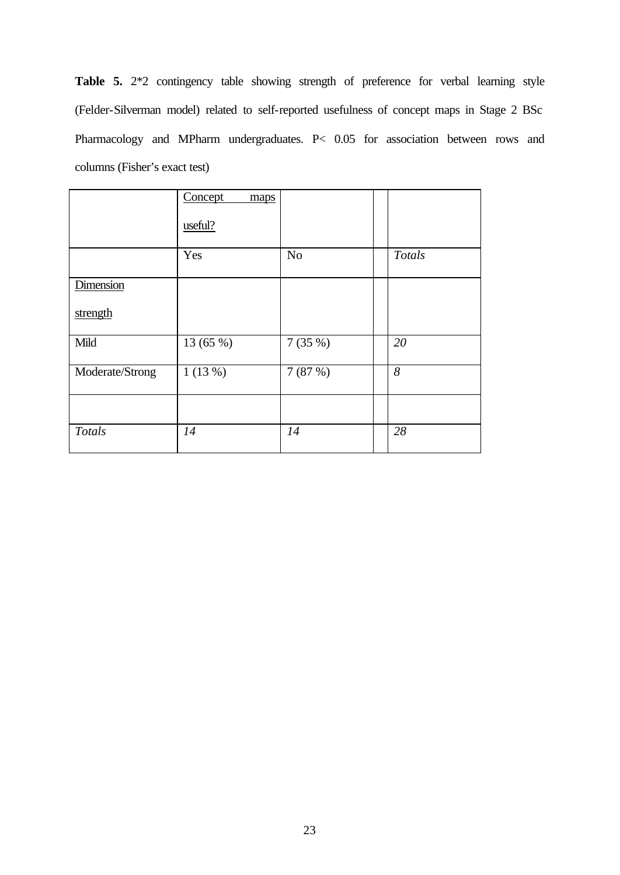**Table 5.** 2\*2 contingency table showing strength of preference for verbal learning style (Felder-Silverman model) related to self-reported usefulness of concept maps in Stage 2 BSc Pharmacology and MPharm undergraduates. P< 0.05 for association between rows and columns (Fisher's exact test)

|                 | Concept<br>maps<br>useful? |                |        |
|-----------------|----------------------------|----------------|--------|
|                 | Yes                        | N <sub>o</sub> | Totals |
| Dimension       |                            |                |        |
| strength        |                            |                |        |
| Mild            | 13 (65 %)                  | 7(35%)         | 20     |
| Moderate/Strong | 1(13%)                     | 7(87%)         | 8      |
|                 |                            |                |        |
| <b>Totals</b>   | 14                         | 14             | 28     |